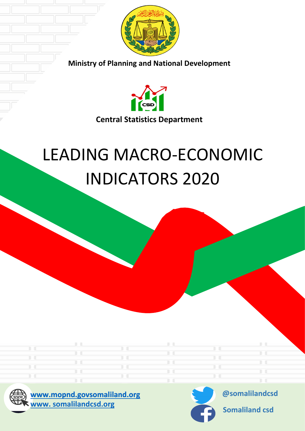

**Ministry of Planning and National Development** 



# LEADING MACRO-ECONOMIC INDICATORS 2020





**@somalilandcsd**

**Somaliland csd**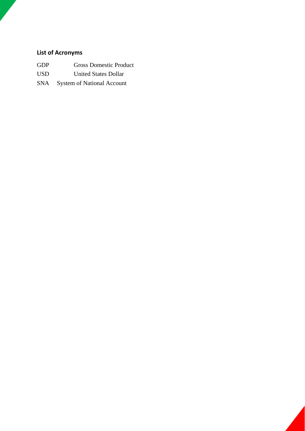# **List of Acronyms**

|     | <b>Gross Domestic Product</b> |
|-----|-------------------------------|
| GDP |                               |

- USD United States Dollar
- SNA System of National Account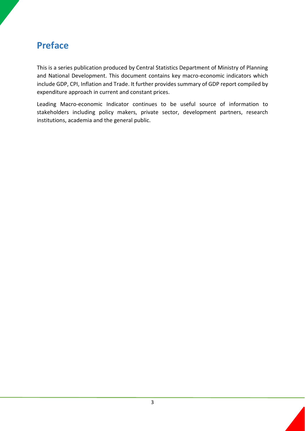# <span id="page-2-0"></span>**Preface**

This is a series publication produced by Central Statistics Department of Ministry of Planning and National Development. This document contains key macro-economic indicators which include GDP, CPI, Inflation and Trade. It further provides summary of GDP report compiled by expenditure approach in current and constant prices.

Leading Macro-economic Indicator continues to be useful source of information to stakeholders including policy makers, private sector, development partners, research institutions, academia and the general public.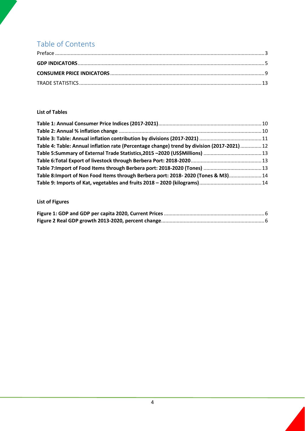# Table of Contents

#### **List of Tables**

| Table 4: Table: Annual inflation rate (Percentage change) trend by division (2017-2021)  12 |  |
|---------------------------------------------------------------------------------------------|--|
|                                                                                             |  |
|                                                                                             |  |
|                                                                                             |  |
| Table 8: Import of Non Food Items through Berbera port: 2018-2020 (Tones & M3) 14           |  |
|                                                                                             |  |

# **List of Figures**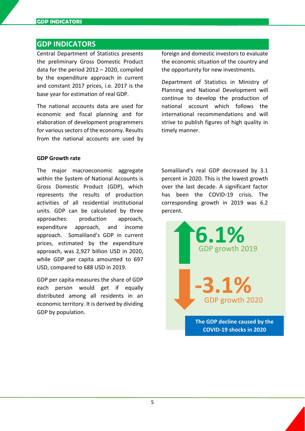### <span id="page-4-0"></span>**GDP INDICATORS**

Central Department of Statistics presents the preliminary Gross Domestic Product data for the period 2012 – 2020, compiled by the expenditure approach in current and constant 2017 prices, i.e. 2017 is the base year for estimation of real GDP.

The national accounts data are used for economic and fiscal planning and for elaboration of development programmers for various sectors of the economy. Results from the national accounts are used by foreign and domestic investors to evaluate the economic situation of the country and the opportunity for new investments.

Department of Statistics in Ministry of Planning and National Development will continue to develop the production of national account which follows the international recommendations and will strive to publish figures of high quality in timely manner.

#### **GDP Growth rate**

The major macroeconomic aggregate within the System of National Accounts is Gross Domestic Product (GDP), which represents the results of production activities of all residential institutional units. GDP can be calculated by three approaches: production approach, expenditure approach, and income approach. Somaliland's GDP in current prices, estimated by the expenditure approach, was 2,927 billion USD in 2020, while GDP per capita amounted to 697 USD, compared to 688 USD in 2019.

<span id="page-4-1"></span>GDP per capita measures the share of GDP each person would get if equally distributed among all residents in an economic territory. It is derived by dividing GDP by population.

Somaliland's real GDP decreased by 3.1 percent in 2020. This is the lowest growth over the last decade. A significant factor has been the COVID-19 crisis. The corresponding growth in 2019 was 6.2 percent.

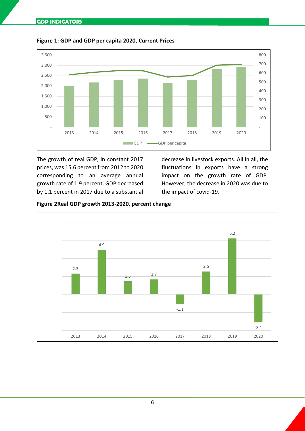

**Figure 1: GDP and GDP per capita 2020, Current Prices**

The growth of real GDP, in constant 2017 prices, was 15.6 percent from 2012 to 2020 corresponding to an average annual growth rate of 1.9 percent. GDP decreased by 1.1 percent in 2017 due to a substantial decrease in livestock exports. All in all, the fluctuations in exports have a strong impact on the growth rate of GDP. However, the decrease in 2020 was due to the impact of covid-19.

<span id="page-5-0"></span>

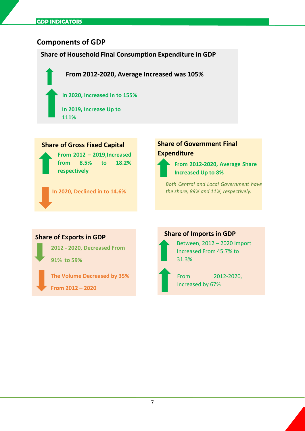# **Components of GDP**

**Share of Household Final Consumption Expenditure in GDP** 

**From 2012-2020, Average Increased was 105%**

**In 2020, Increased in to 155%**

**In 2019, Increase Up to 111%**

## **Share of Gross Fixed Capital**

**From 2012 – 2019, Increased from 8.5% to 18.2% respectively** 

**In 2020, Declined in to 14.6%** 

# **Share of Government Final Expenditure**



**From 2012-2020, Average Share Increased Up to 8%**

*Both Central and Local Government have the share, 89% and 11%, respectively.*

#### **Share of Exports in GDP**

**2012 - 2020, Decreased From** 

**91% to 59%**

**The Volume Decreased by 35% From 2012 – 2020**

# **Share of Imports in GDP**



Between, 2012 – 2020 Import Increased From 45.7% to 31.3%

From 2012-2020, Increased by 67%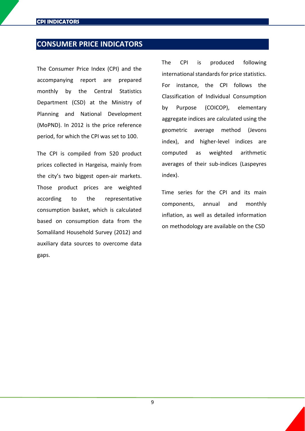# <span id="page-8-0"></span>**CONSUMER PRICE INDICATORS**

The Consumer Price Index (CPI) and the accompanying report are prepared monthly by the Central Statistics Department (CSD) at the Ministry of Planning and National Development (MoPND). In 2012 is the price reference period, for which the CPI was set to 100.

The CPI is compiled from 520 product prices collected in Hargeisa, mainly from the city's two biggest open-air markets. Those product prices are weighted according to the representative consumption basket, which is calculated based on consumption data from the Somaliland Household Survey (2012) and auxiliary data sources to overcome data gaps.

The CPI is produced following international standards for price statistics. For instance, the CPI follows the Classification of Individual Consumption by Purpose (COICOP), elementary aggregate indices are calculated using the geometric average method (Jevons index), and higher-level indices are computed as weighted arithmetic averages of their sub-indices (Laspeyres index).

Time series for the CPI and its main components, annual and monthly inflation, as well as detailed information on methodology are available on the CSD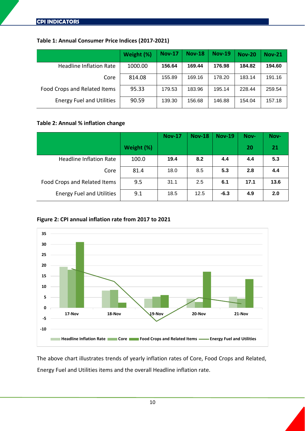#### <span id="page-9-0"></span>**Table 1: Annual Consumer Price Indices (2017-2021)**

|                                  | Weight (%) | <b>Nov-17</b> | <b>Nov-18</b> | <b>Nov-19</b> | <b>Nov-20</b> | <b>Nov-21</b> |
|----------------------------------|------------|---------------|---------------|---------------|---------------|---------------|
| <b>Headline Inflation Rate</b>   | 1000.00    | 156.64        | 169.44        | 176.98        | 184.82        | 194.60        |
| Core                             | 814.08     | 155.89        | 169.16        | 178.20        | 183.14        | 191.16        |
| Food Crops and Related Items     | 95.33      | 179.53        | 183.96        | 195.14        | 228.44        | 259.54        |
| <b>Energy Fuel and Utilities</b> | 90.59      | 139.30        | 156.68        | 146.88        | 154.04        | 157.18        |

#### <span id="page-9-1"></span>**Table 2: Annual % inflation change**

|                                  |            | <b>Nov-17</b> | <b>Nov-18</b> | <b>Nov-19</b> | Nov- | Nov- |
|----------------------------------|------------|---------------|---------------|---------------|------|------|
|                                  | Weight (%) |               |               |               | 20   | 21   |
| <b>Headline Inflation Rate</b>   | 100.0      | 19.4          | 8.2           | 4.4           | 4.4  | 5.3  |
| Core                             | 81.4       | 18.0          | 8.5           | 5.3           | 2.8  | 4.4  |
| Food Crops and Related Items     | 9.5        | 31.1          | 2.5           | 6.1           | 17.1 | 13.6 |
| <b>Energy Fuel and Utilities</b> | 9.1        | 18.5          | 12.5          | $-6.3$        | 4.9  | 2.0  |

#### **Figure 2: CPI annual inflation rate from 2017 to 2021**



The above chart illustrates trends of yearly inflation rates of Core, Food Crops and Related, Energy Fuel and Utilities items and the overall Headline inflation rate.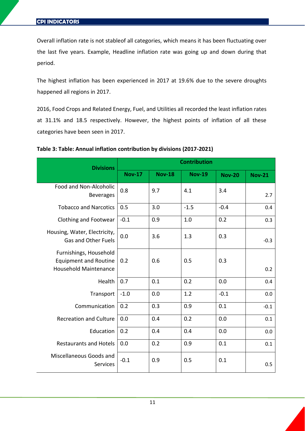Overall inflation rate is not stableof all categories, which means it has been fluctuating over the last five years. Example, Headline inflation rate was going up and down during that period.

The highest inflation has been experienced in 2017 at 19.6% due to the severe droughts happened all regions in 2017.

2016, Food Crops and Related Energy, Fuel, and Utilities all recorded the least inflation rates at 31.1% and 18.5 respectively. However, the highest points of inflation of all these categories have been seen in 2017.

| <b>Divisions</b>                                                                       | <b>Contribution</b> |               |               |               |               |  |
|----------------------------------------------------------------------------------------|---------------------|---------------|---------------|---------------|---------------|--|
|                                                                                        | <b>Nov-17</b>       | <b>Nov-18</b> | <b>Nov-19</b> | <b>Nov-20</b> | <b>Nov-21</b> |  |
| Food and Non-Alcoholic<br><b>Beverages</b>                                             | 0.8                 | 9.7           | 4.1           | 3.4           | 2.7           |  |
| <b>Tobacco and Narcotics</b>                                                           | 0.5                 | 3.0           | $-1.5$        | $-0.4$        | 0.4           |  |
| Clothing and Footwear                                                                  | $-0.1$              | 0.9           | 1.0           | 0.2           | 0.3           |  |
| Housing, Water, Electricity,<br><b>Gas and Other Fuels</b>                             | 0.0                 | 3.6           | 1.3           | 0.3           | $-0.3$        |  |
| Furnishings, Household<br><b>Equipment and Routine</b><br><b>Household Maintenance</b> | 0.2                 | 0.6           | 0.5           | 0.3           | 0.2           |  |
| Health                                                                                 | 0.7                 | 0.1           | 0.2           | 0.0           | 0.4           |  |
| Transport                                                                              | $-1.0$              | 0.0           | 1.2           | $-0.1$        | 0.0           |  |
| Communication                                                                          | 0.2                 | 0.3           | 0.9           | 0.1           | $-0.1$        |  |
| <b>Recreation and Culture</b>                                                          | 0.0                 | 0.4           | 0.2           | 0.0           | 0.1           |  |
| Education                                                                              | 0.2                 | 0.4           | 0.4           | 0.0           | 0.0           |  |
| <b>Restaurants and Hotels</b>                                                          | 0.0                 | 0.2           | 0.9           | 0.1           | 0.1           |  |
| Miscellaneous Goods and<br><b>Services</b>                                             | $-0.1$              | 0.9           | 0.5           | 0.1           | 0.5           |  |

#### <span id="page-10-0"></span>**Table 3: Table: Annual inflation contribution by divisions (2017-2021)**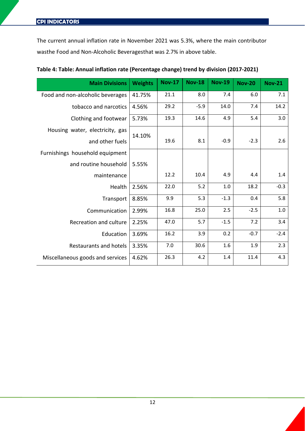The current annual inflation rate in November 2021 was 5.3%, where the main contributor wasthe Food and Non-Alcoholic Beveragesthat was 2.7% in above table.

| <b>Main Divisions</b>            | <b>Weights</b> | <b>Nov-17</b> | <b>Nov-18</b> | <b>Nov-19</b> | <b>Nov-20</b> | <b>Nov-21</b> |
|----------------------------------|----------------|---------------|---------------|---------------|---------------|---------------|
| Food and non-alcoholic beverages | 41.75%         | 21.1          | 8.0           | 7.4           | 6.0           | 7.1           |
| tobacco and narcotics            | 4.56%          | 29.2          | $-5.9$        | 14.0          | 7.4           | 14.2          |
| Clothing and footwear            | 5.73%          | 19.3          | 14.6          | 4.9           | 5.4           | 3.0           |
| Housing water, electricity, gas  | 14.10%         |               |               |               |               |               |
| and other fuels                  |                | 19.6          | 8.1           | $-0.9$        | $-2.3$        | 2.6           |
| Furnishings household equipment  |                |               |               |               |               |               |
| and routine household            | 5.55%          |               |               |               |               |               |
| maintenance                      |                | 12.2          | 10.4          | 4.9           | 4.4           | 1.4           |
| Health                           | 2.56%          | 22.0          | 5.2           | 1.0           | 18.2          | $-0.3$        |
| Transport                        | 8.85%          | 9.9           | 5.3           | $-1.3$        | 0.4           | 5.8           |
| Communication                    | 2.99%          | 16.8          | 25.0          | 2.5           | $-2.5$        | $1.0\,$       |
| Recreation and culture           | 2.25%          | 47.0          | 5.7           | $-1.5$        | 7.2           | 3.4           |
| Education                        | 3.69%          | 16.2          | 3.9           | 0.2           | $-0.7$        | $-2.4$        |
| <b>Restaurants and hotels</b>    | 3.35%          | 7.0           | 30.6          | 1.6           | 1.9           | 2.3           |
| Miscellaneous goods and services | 4.62%          | 26.3          | 4.2           | 1.4           | 11.4          | 4.3           |

#### <span id="page-11-0"></span>**Table 4: Table: Annual inflation rate (Percentage change) trend by division (2017-2021)**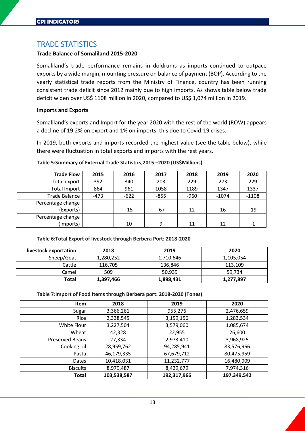## <span id="page-12-0"></span>TRADE STATISTICS

#### **Trade Balance of Somaliland 2015-2020**

Somaliland's trade performance remains in doldrums as imports continued to outpace exports by a wide margin, mounting pressure on balance of payment (BOP). According to the yearly statistical trade reports from the Ministry of Finance, country has been running consistent trade deficit since 2012 mainly due to high imports. As shows table below trade deficit widen over US\$ 1108 million in 2020, compared to US\$ 1,074 million in 2019.

#### **Imports and Exports**

Somaliland's exports and Import for the year 2020 with the rest of the world (ROW) appears a decline of 19.2% on export and 1% on imports, this due to Covid-19 crises.

In 2019, both exports and imports recorded the highest value (see the table below), while there were fluctuation in total exports and imports with the rest years.

| <b>Trade Flow</b>    | 2015   | 2016   | 2017   | 2018   | 2019    | 2020    |
|----------------------|--------|--------|--------|--------|---------|---------|
| Total export         | 392    | 340    | 203    | 229    | 273     | 229     |
| <b>Total Import</b>  | 864    | 961    | 1058   | 1189   | 1347    | 1337    |
| <b>Trade Balance</b> | $-473$ | $-622$ | $-855$ | $-960$ | $-1074$ | $-1108$ |
| Percentage change    |        |        |        |        |         |         |
| (Exports)            |        | $-15$  | -67    | 12     | 16      | $-19$   |
| Percentage change    |        |        |        |        |         |         |
| (Imports)            |        | 10     | 9      | 11     | 12      | -1      |

#### <span id="page-12-1"></span>**Table 5:Summary of External Trade Statistics,2015 –2020 (US\$Millions)**

#### <span id="page-12-2"></span>**Table 6:Total Export of livestock through Berbera Port: 2018-2020**

| livestock exportation | 2018      | 2019      | 2020      |
|-----------------------|-----------|-----------|-----------|
| Sheep/Goat            | 1,280,252 | 1,710,646 | 1,105,054 |
| Cattle                | 116,705   | 136,846   | 113,109   |
| Camel                 | 509       | 50.939    | 59.734    |
| Total                 | 1,397,466 | 1,898,431 | 1,277,897 |

#### <span id="page-12-3"></span>**Table 7:Import of Food Items through Berbera port: 2018-2020 (Tones)**

| Item                   | 2018        | 2019        | 2020        |
|------------------------|-------------|-------------|-------------|
| Sugar                  | 3,366,261   | 955,276     | 2,476,659   |
| Rice                   | 2,338,545   | 3,159,156   | 1,283,534   |
| White Flour            | 3,227,504   | 3,579,060   | 1,085,674   |
| Wheat                  | 42,328      | 22,955      | 26,600      |
| <b>Preserved Beans</b> | 27,334      | 2,973,410   | 3,968,925   |
| Cooking oil            | 28,959,762  | 94,285,941  | 83,576,966  |
| Pasta                  | 46,179,335  | 67,679,712  | 80,475,959  |
| Dates                  | 10,418,031  | 11,232,777  | 16,480,909  |
| <b>Biscuits</b>        | 8,979,487   | 8,429,679   | 7,974,316   |
| <b>Total</b>           | 103,538,587 | 192,317,966 | 197,349,542 |